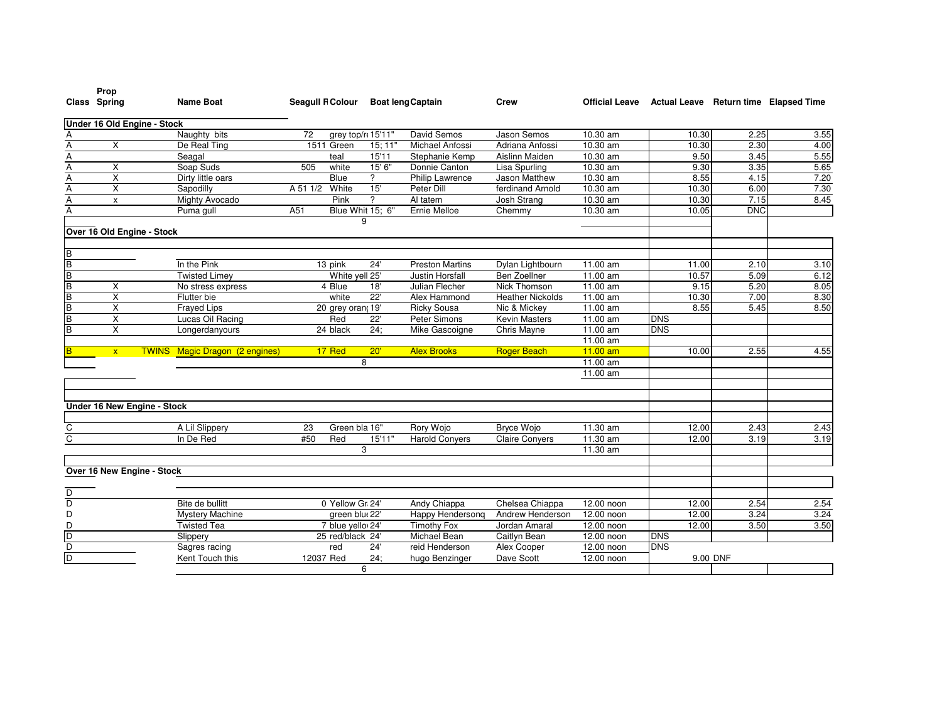|                | Prop<br>Class Spring        | <b>Name Boat</b>                      | <b>Seagull FColour</b> |                         |                 | <b>Boat leng Captain</b> | <b>Crew</b>             | <b>Official Leave</b> | Actual Leave Return time Elapsed Time |            |      |
|----------------|-----------------------------|---------------------------------------|------------------------|-------------------------|-----------------|--------------------------|-------------------------|-----------------------|---------------------------------------|------------|------|
|                | Under 16 Old Engine - Stock |                                       |                        |                         |                 |                          |                         |                       |                                       |            |      |
| Α              |                             | Naughty bits                          | 72                     | grey top/r 15'11'       |                 | David Semos              | Jason Semos             | 10.30 am              | 10.30                                 | 2.25       | 3.55 |
| Ā              | X                           | De Real Ting                          |                        | $\overline{1511}$ Green | 15; 11"         | Michael Anfossi          | Adriana Anfossi         | 10.30 am              | 10.30                                 | 2.30       | 4.00 |
| A              |                             | Seagal                                |                        | teal                    | 15'11           | Stephanie Kemp           | Aislinn Maiden          | 10.30 am              | 9.50                                  | 3.45       | 5.55 |
| A              | X                           | Soap Suds                             | 505                    | white                   | 15' 6"          | Donnie Canton            | Lisa Spurling           | 10.30 am              | 9.30                                  | 3.35       | 5.65 |
| Ā              | X                           | Dirty little oars                     |                        | <b>Blue</b>             | ?               | Philip Lawrence          | Jason Matthew           | 10.30 am              | 8.55                                  | 4.15       | 7.20 |
| $\overline{A}$ | X                           | Sapodilly                             | A 51 1/2               | White                   | 15'             | <b>Peter Dill</b>        | ferdinand Arnold        | 10.30 am              | 10.30                                 | 6.00       | 7.30 |
| $\overline{A}$ | x                           | Mighty Avocado                        |                        | Pink                    | $\overline{2}$  | Al tatem                 | Josh Strang             | 10.30 am              | 10.30                                 | 7.15       | 8.45 |
| A              |                             | Puma gull                             | A51                    | Blue Whit 15: 6"        |                 | Ernie Melloe             | Chemmy                  | 10.30 am              | 10.05                                 | <b>DNC</b> |      |
|                | Over 16 Old Engine - Stock  |                                       |                        |                         | 9               |                          |                         |                       |                                       |            |      |
| B              |                             |                                       |                        |                         |                 |                          |                         |                       |                                       |            |      |
| $\overline{B}$ |                             | In the Pink                           |                        | 13 pink                 | 24'             | <b>Preston Martins</b>   | Dylan Lightbourn        | 11.00 am              | 11.00                                 | 2.10       | 3.10 |
| $\overline{B}$ |                             | <b>Twisted Limey</b>                  |                        | White yell 25'          |                 | <b>Justin Horsfall</b>   | Ben Zoellner            | 11.00 am              | 10.57                                 | 5.09       | 6.12 |
| $\overline{B}$ | X                           | No stress express                     |                        | 4 Blue                  | 18'             | Julian Flecher           | Nick Thomson            | 11.00 am              | 9.15                                  | 5.20       | 8.05 |
| B              | $\overline{\mathsf{x}}$     | Flutter bie                           |                        | white                   | $\overline{22}$ | Alex Hammond             | <b>Heather Nickolds</b> | 11.00 am              | 10.30                                 | 7.00       | 8.30 |
| B              | X                           | <b>Frayed Lips</b>                    |                        | 20 grey oran, 19'       |                 | <b>Ricky Sousa</b>       | Nic & Mickey            | 11.00 am              | 8.55                                  | 5.45       | 8.50 |
| $\overline{B}$ | X                           | Lucas Oil Racing                      |                        | Red                     | 22'             | Peter Simons             | Kevin Masters           | 11.00 am              | <b>DNS</b>                            |            |      |
| $\overline{B}$ | X                           | Longerdanyours                        |                        | 24 black                | 24:             | Mike Gascoigne           | Chris Mayne             | 11.00 am              | <b>DNS</b>                            |            |      |
|                |                             |                                       |                        |                         |                 |                          |                         | 11.00 am              |                                       |            |      |
|                | $\mathbf{x}$                | <b>TWINS</b> Magic Dragon (2 engines) |                        | 17 Red                  | 20'             | <b>Alex Brooks</b>       | <b>Roger Beach</b>      | $11.00$ am            | 10.00                                 | 2.55       | 4.55 |
|                |                             |                                       |                        |                         | 8               |                          |                         | 11.00 am              |                                       |            |      |
|                |                             |                                       |                        |                         |                 |                          |                         | 11.00 am              |                                       |            |      |
|                | Under 16 New Engine - Stock |                                       |                        |                         |                 |                          |                         |                       |                                       |            |      |
| С              |                             | A Lil Slippery                        | 23                     | Green bla 16"           |                 | Rory Wojo                | <b>Bryce Wojo</b>       | 11.30 am              | 12.00                                 | 2.43       | 2.43 |
| C              |                             | In De Red                             | #50                    | Red                     | 15'11"          | <b>Harold Conyers</b>    | Claire Conyers          | 11.30 am              | 12.00                                 | 3.19       | 3.19 |
|                |                             |                                       |                        |                         | 3               |                          |                         | 11.30 am              |                                       |            |      |
|                |                             |                                       |                        |                         |                 |                          |                         |                       |                                       |            |      |
|                | Over 16 New Engine - Stock  |                                       |                        |                         |                 |                          |                         |                       |                                       |            |      |
| D              |                             |                                       |                        |                         |                 |                          |                         |                       |                                       |            |      |
| $\overline{D}$ |                             | Bite de bullitt                       |                        | 0 Yellow Gr. 24'        |                 | Andy Chiappa             | Chelsea Chiappa         | 12.00 noon            | 12.00                                 | 2.54       | 2.54 |
| D              |                             | Mystery Machine                       |                        | green blu 22'           |                 | Happy Hendersong         | Andrew Henderson        | 12.00 noon            | 12.00                                 | 3.24       | 3.24 |
| D              |                             | <b>Twisted Tea</b>                    |                        | 7 blue yello 24'        |                 | <b>Timothy Fox</b>       | Jordan Amaral           | 12.00 noon            | 12.00                                 | 3.50       | 3.50 |
| Đ              |                             | Slippery                              |                        | 25 red/black 24'        |                 | <b>Michael Bean</b>      | Caitlyn Bean            | 12.00 noon            | <b>DNS</b>                            |            |      |
| D              |                             | Sagres racing                         |                        | red                     | 24'             | reid Henderson           | Alex Cooper             | 12.00 noon            | <b>DNS</b>                            |            |      |
| D              |                             | Kent Touch this                       | 12037 Red              |                         | 24:             | hugo Benzinger           | Dave Scott              | 12.00 noon            |                                       | 9.00 DNF   |      |
|                |                             |                                       |                        |                         | 6               |                          |                         |                       |                                       |            |      |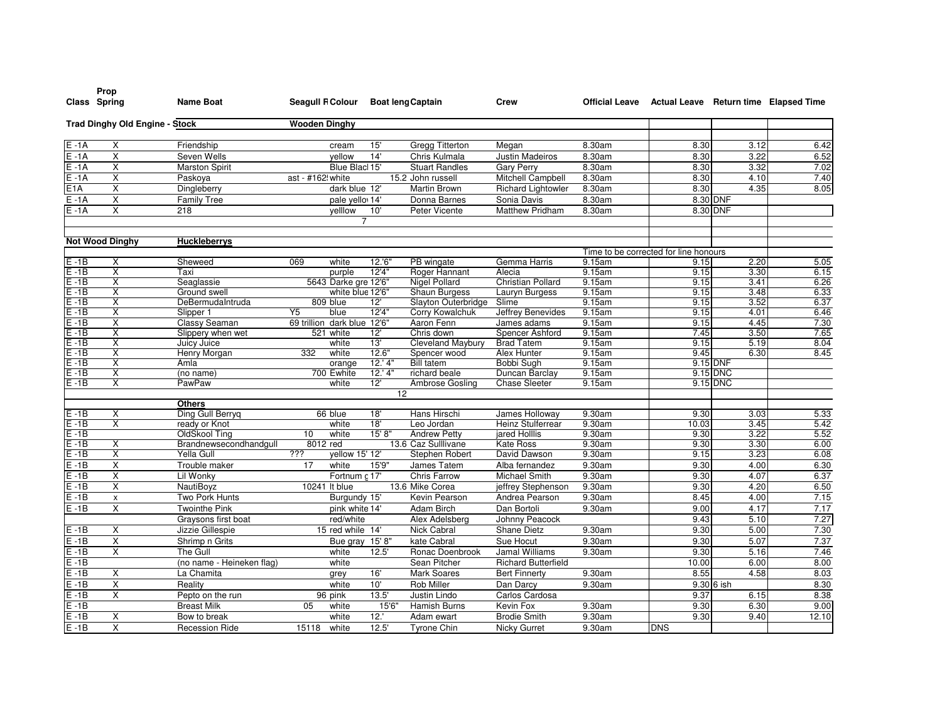| Class Spring<br><b>Name Boat</b><br><b>Seagull RColour</b><br><b>Boat leng Captain</b><br>Official Leave Actual Leave Return time Elapsed Time<br>Crew<br><b>Trad Dinghy Old Engine - Stock</b><br><b>Wooden Dinghy</b><br>$E - 1A$<br>15'<br><b>Gregg Titterton</b><br>8.30am<br>8.30<br>3.12<br>6.42<br>Χ<br>Friendship<br>Megan<br>cream<br>$\overline{\mathsf{x}}$<br>14'<br>$E - 1A$<br>Seven Wells<br>Chris Kulmala<br>Justin Madeiros<br>8.30am<br>8.30<br>3.22<br>6.52<br>vellow<br>X<br>Blue Blacl 15'<br><b>Stuart Randles</b><br>$E - 1A$<br><b>Marston Spirit</b><br><b>Gary Perry</b><br>8.30am<br>8.30<br>3.32<br>7.02<br>$\overline{\mathsf{x}}$<br>7.40<br>$E - 1A$<br>ast - #162! white<br>15.2 John russell<br>8.30am<br>8.30<br>4.10<br>Paskova<br>Mitchell Campbell<br>E1A<br>X<br>8.05<br>8.30<br>4.35<br>Dingleberry<br>dark blue 12'<br>Martin Brown<br><b>Richard Lightowler</b><br>8.30am<br>$\overline{\mathsf{x}}$<br>Donna Barnes<br>8.30am<br>8.30 DNF<br>$E - 1A$<br><b>Family Tree</b><br>pale yello 14'<br>Sonia Davis<br>$E - 1A$<br>X<br><b>Matthew Pridham</b><br>8.30 DNF<br>218<br>yelllow<br>10'<br>Peter Vicente<br>8.30am<br>$\overline{7}$<br><b>Not Wood Dinghy</b><br><b>Huckleberrys</b><br>Time to be corrected for line honours<br>$E - 1B$<br>069<br>12.'6"<br>PB wingate<br>Gemma Harris<br>2.20<br>5.05<br>X<br>Sheweed<br>white<br>9.15am<br>9.15<br>$E - 1B$<br>X<br>Taxi<br>purple<br>12'4"<br>Roger Hannant<br>Alecia<br>9.15am<br>9.15<br>3.30<br>6.15<br>$E - 1B$<br>5643 Darke gre 12'6"<br>9.15<br>6.26<br><b>Nigel Pollard</b><br><b>Christian Pollard</b><br>9.15am<br>3.41<br>X<br>Seaglassie<br>$E - 1B$<br>X<br>white blue 12'6"<br>Shaun Burgess<br>9.15am<br>9.15<br>3.48<br>6.33<br>Ground swell<br>Lauryn Burgess<br>$E - 1B$<br>$\overline{\mathsf{x}}$<br>6.37<br>809 blue<br>9.15am<br>9.15<br>3.52<br>DeBermudaIntruda<br>12'<br>Slayton Outerbridge<br>Slime<br>$E - 1B$<br>12'4''<br>X<br>Y5<br>blue<br><b>Corry Kowalchuk</b><br><b>Jeffrey Benevides</b><br>9.15am<br>9.15<br>4.01<br>6.46<br>Slipper 1<br>7.30<br>$E - 1B$<br>69 trillion dark blue 12'6'<br>Aaron Fenn<br>9.15am<br>4.45<br>х<br>Classy Seaman<br>James adams<br>9.15<br>$E - 1B$<br>Chris down<br>9.15am<br>7.45<br>3.50<br>7.65<br>X<br>Slippery when wet<br>521 white<br>12'<br>Spencer Ashford<br>$E - 1B$<br>13'<br>8.04<br>X<br>Cleveland Maybury<br><b>Brad Tatem</b><br>9.15am<br>9.15<br>5.19<br>Juicy Juice<br>white<br>$E - 1B$<br>X<br>12.6"<br>9.45<br>8.45<br>Henry Morgan<br>332<br>white<br>Spencer wood<br>Alex Hunter<br>9.15am<br>6.30<br>$E - 1B$<br>12.'4"<br><b>Bill tatem</b><br>Bobbi Sugh<br>9.15am<br>9.15 DNF<br>X<br>Amla<br>orange<br>$E - 1B$<br>X<br>700 Ewhite<br>12.'4'<br>9.15 DNC<br>richard beale<br>Duncan Barclay<br>9.15am<br>(no name)<br>$E - 1B$<br>X<br>PawPaw<br>12<br>9.15 DNC<br>white<br>Ambrose Gosling<br><b>Chase Sleeter</b><br>9.15am<br>12<br><b>Others</b><br>$E - 1B$<br>5.33<br>Ding Gull Berryg<br>18'<br>Hans Hirschi<br>9.30am<br>9.30<br>3.03<br>Χ<br>66 blue<br>James Holloway<br>$E - 1B$<br>X<br>18'<br>9.30am<br>5.42<br>ready or Knot<br>white<br>Leo Jordan<br><b>Heinz Stulferrear</b><br>10.03<br>3.45<br>5.52<br>15'8"<br>$E - 1B$<br>OldSkool Ting<br>10<br><b>Andrew Petty</b><br>9.30am<br>9.30<br>3.22<br>white<br>jared Holllis<br>$E - 1B$<br>X<br>Brandnewsecondhandqull<br>8012 red<br>13.6 Caz Sulllivane<br>Kate Ross<br>9.30am<br>9.30<br>3.30<br>6.00<br>$E - 1B$<br>???<br>vellow 15' 12'<br>David Dawson<br>3.23<br>6.08<br>Χ<br>Yella Gull<br>Stephen Robert<br>9.30am<br>9.15<br>$E - 1B$<br>6.30<br>X<br>15'9"<br>9.30am<br>9.30<br>4.00<br>Trouble maker<br>white<br>James Tatem<br>Alba fernandez<br>17<br>$E - 1B$<br>Χ<br>6.37<br>Lil Wonky<br>Fortnum c 17'<br><b>Chris Farrow</b><br>9.30am<br>9.30<br>4.07<br>Michael Smith<br>$E - 1B$<br>X<br><b>NautiBoyz</b><br>10241 It blue<br>13.6 Mike Corea<br>9.30am<br>9.30<br>4.20<br>6.50<br>jeffrey Stephenson<br>$E - 1B$<br>8.45<br>4.00<br>7.15<br>Two Pork Hunts<br>Burgundy 15'<br>Kevin Pearson<br>Andrea Pearson<br>9.30am<br>$\pmb{\times}$<br>$E - 1B$<br>X<br>7.17<br><b>Twointhe Pink</b><br>pink white 14'<br><b>Adam Birch</b><br>Dan Bortoli<br>9.30am<br>9.00<br>4.17<br>7.27<br>5.10<br>Graysons first boat<br>red/white<br>Alex Adelsberg<br>Johnny Peacock<br>9.43<br>7.30<br>$E - 1B$<br>X<br>Jizzie Gillespie<br>15 red while 14'<br>Nick Cabral<br><b>Shane Dietz</b><br>9.30am<br>9.30<br>5.00<br>7.37<br>$E - 1B$<br>X<br>Shrimp n Grits<br>Bue gray 15' 8"<br>kate Cabral<br>Sue Hocut<br>9.30am<br>9.30<br>5.07<br>$\overline{\mathsf{x}}$<br>$E - 1B$<br>9.30<br>7.46<br>The Gull<br>12.5'<br>Ronac Doenbrook<br>Jamal Williams<br>9.30am<br>5.16<br>white<br>$E - 1B$<br>8.00<br>(no name - Heineken flag)<br>Sean Pitcher<br><b>Richard Butterfield</b><br>6.00<br>white<br>10.00<br>$E - 1B$<br>8.55<br>4.58<br>8.03<br>X<br>16'<br><b>Mark Soares</b><br>9.30am<br>La Chamita<br><b>Bert Finnerty</b><br>grey<br>$E - 1B$<br>Χ<br>10'<br>Rob Miller<br>9.30am<br>8.30<br>Reality<br>Dan Darcy<br>9.30 6 ish<br>white<br>$E - 1B$<br>$\overline{\mathsf{x}}$<br>8.38<br>13.5'<br>Justin Lindo<br>Carlos Cardosa<br>9.37<br>6.15<br>Pepto on the run<br>96 pink<br>$E - 1B$<br><b>Breast Milk</b><br>15'6"<br>Hamish Burns<br>Kevin Fox<br>6.30<br>9.00<br>05<br>white<br>9.30am<br>9.30<br>$E - 1B$<br>X<br>12.<br>12.10<br>Bow to break<br>white<br><b>Brodie Smith</b><br>9.30am<br>9.30<br>9.40<br>Adam ewart<br>$E - 1B$<br>12.5'<br>X<br>15118<br>white<br><b>Tyrone Chin</b><br>Nicky Gurret<br>9.30am<br><b>DNS</b><br><b>Recession Ride</b> | Prop |  |  |  |  |  |
|-------------------------------------------------------------------------------------------------------------------------------------------------------------------------------------------------------------------------------------------------------------------------------------------------------------------------------------------------------------------------------------------------------------------------------------------------------------------------------------------------------------------------------------------------------------------------------------------------------------------------------------------------------------------------------------------------------------------------------------------------------------------------------------------------------------------------------------------------------------------------------------------------------------------------------------------------------------------------------------------------------------------------------------------------------------------------------------------------------------------------------------------------------------------------------------------------------------------------------------------------------------------------------------------------------------------------------------------------------------------------------------------------------------------------------------------------------------------------------------------------------------------------------------------------------------------------------------------------------------------------------------------------------------------------------------------------------------------------------------------------------------------------------------------------------------------------------------------------------------------------------------------------------------------------------------------------------------------------------------------------------------------------------------------------------------------------------------------------------------------------------------------------------------------------------------------------------------------------------------------------------------------------------------------------------------------------------------------------------------------------------------------------------------------------------------------------------------------------------------------------------------------------------------------------------------------------------------------------------------------------------------------------------------------------------------------------------------------------------------------------------------------------------------------------------------------------------------------------------------------------------------------------------------------------------------------------------------------------------------------------------------------------------------------------------------------------------------------------------------------------------------------------------------------------------------------------------------------------------------------------------------------------------------------------------------------------------------------------------------------------------------------------------------------------------------------------------------------------------------------------------------------------------------------------------------------------------------------------------------------------------------------------------------------------------------------------------------------------------------------------------------------------------------------------------------------------------------------------------------------------------------------------------------------------------------------------------------------------------------------------------------------------------------------------------------------------------------------------------------------------------------------------------------------------------------------------------------------------------------------------------------------------------------------------------------------------------------------------------------------------------------------------------------------------------------------------------------------------------------------------------------------------------------------------------------------------------------------------------------------------------------------------------------------------------------------------------------------------------------------------------------------------------------------------------------------------------------------------------------------------------------------------------------------------------------------------------------------------------------------------------------------------------------------------------------------------------------------------------------------------------------------------------------------------------------------------------------------------------------------------------------------------------------------------------------------------------------------------------------------------------------------------------------------------------------------------------------------------------------------------------------------------------------------------------------------------------------------------------------------------------------------------------------------------|------|--|--|--|--|--|
|                                                                                                                                                                                                                                                                                                                                                                                                                                                                                                                                                                                                                                                                                                                                                                                                                                                                                                                                                                                                                                                                                                                                                                                                                                                                                                                                                                                                                                                                                                                                                                                                                                                                                                                                                                                                                                                                                                                                                                                                                                                                                                                                                                                                                                                                                                                                                                                                                                                                                                                                                                                                                                                                                                                                                                                                                                                                                                                                                                                                                                                                                                                                                                                                                                                                                                                                                                                                                                                                                                                                                                                                                                                                                                                                                                                                                                                                                                                                                                                                                                                                                                                                                                                                                                                                                                                                                                                                                                                                                                                                                                                                                                                                                                                                                                                                                                                                                                                                                                                                                                                                                                                                                                                                                                                                                                                                                                                                                                                                                                                                                                                                                                                                         |      |  |  |  |  |  |
|                                                                                                                                                                                                                                                                                                                                                                                                                                                                                                                                                                                                                                                                                                                                                                                                                                                                                                                                                                                                                                                                                                                                                                                                                                                                                                                                                                                                                                                                                                                                                                                                                                                                                                                                                                                                                                                                                                                                                                                                                                                                                                                                                                                                                                                                                                                                                                                                                                                                                                                                                                                                                                                                                                                                                                                                                                                                                                                                                                                                                                                                                                                                                                                                                                                                                                                                                                                                                                                                                                                                                                                                                                                                                                                                                                                                                                                                                                                                                                                                                                                                                                                                                                                                                                                                                                                                                                                                                                                                                                                                                                                                                                                                                                                                                                                                                                                                                                                                                                                                                                                                                                                                                                                                                                                                                                                                                                                                                                                                                                                                                                                                                                                                         |      |  |  |  |  |  |
|                                                                                                                                                                                                                                                                                                                                                                                                                                                                                                                                                                                                                                                                                                                                                                                                                                                                                                                                                                                                                                                                                                                                                                                                                                                                                                                                                                                                                                                                                                                                                                                                                                                                                                                                                                                                                                                                                                                                                                                                                                                                                                                                                                                                                                                                                                                                                                                                                                                                                                                                                                                                                                                                                                                                                                                                                                                                                                                                                                                                                                                                                                                                                                                                                                                                                                                                                                                                                                                                                                                                                                                                                                                                                                                                                                                                                                                                                                                                                                                                                                                                                                                                                                                                                                                                                                                                                                                                                                                                                                                                                                                                                                                                                                                                                                                                                                                                                                                                                                                                                                                                                                                                                                                                                                                                                                                                                                                                                                                                                                                                                                                                                                                                         |      |  |  |  |  |  |
|                                                                                                                                                                                                                                                                                                                                                                                                                                                                                                                                                                                                                                                                                                                                                                                                                                                                                                                                                                                                                                                                                                                                                                                                                                                                                                                                                                                                                                                                                                                                                                                                                                                                                                                                                                                                                                                                                                                                                                                                                                                                                                                                                                                                                                                                                                                                                                                                                                                                                                                                                                                                                                                                                                                                                                                                                                                                                                                                                                                                                                                                                                                                                                                                                                                                                                                                                                                                                                                                                                                                                                                                                                                                                                                                                                                                                                                                                                                                                                                                                                                                                                                                                                                                                                                                                                                                                                                                                                                                                                                                                                                                                                                                                                                                                                                                                                                                                                                                                                                                                                                                                                                                                                                                                                                                                                                                                                                                                                                                                                                                                                                                                                                                         |      |  |  |  |  |  |
|                                                                                                                                                                                                                                                                                                                                                                                                                                                                                                                                                                                                                                                                                                                                                                                                                                                                                                                                                                                                                                                                                                                                                                                                                                                                                                                                                                                                                                                                                                                                                                                                                                                                                                                                                                                                                                                                                                                                                                                                                                                                                                                                                                                                                                                                                                                                                                                                                                                                                                                                                                                                                                                                                                                                                                                                                                                                                                                                                                                                                                                                                                                                                                                                                                                                                                                                                                                                                                                                                                                                                                                                                                                                                                                                                                                                                                                                                                                                                                                                                                                                                                                                                                                                                                                                                                                                                                                                                                                                                                                                                                                                                                                                                                                                                                                                                                                                                                                                                                                                                                                                                                                                                                                                                                                                                                                                                                                                                                                                                                                                                                                                                                                                         |      |  |  |  |  |  |
|                                                                                                                                                                                                                                                                                                                                                                                                                                                                                                                                                                                                                                                                                                                                                                                                                                                                                                                                                                                                                                                                                                                                                                                                                                                                                                                                                                                                                                                                                                                                                                                                                                                                                                                                                                                                                                                                                                                                                                                                                                                                                                                                                                                                                                                                                                                                                                                                                                                                                                                                                                                                                                                                                                                                                                                                                                                                                                                                                                                                                                                                                                                                                                                                                                                                                                                                                                                                                                                                                                                                                                                                                                                                                                                                                                                                                                                                                                                                                                                                                                                                                                                                                                                                                                                                                                                                                                                                                                                                                                                                                                                                                                                                                                                                                                                                                                                                                                                                                                                                                                                                                                                                                                                                                                                                                                                                                                                                                                                                                                                                                                                                                                                                         |      |  |  |  |  |  |
|                                                                                                                                                                                                                                                                                                                                                                                                                                                                                                                                                                                                                                                                                                                                                                                                                                                                                                                                                                                                                                                                                                                                                                                                                                                                                                                                                                                                                                                                                                                                                                                                                                                                                                                                                                                                                                                                                                                                                                                                                                                                                                                                                                                                                                                                                                                                                                                                                                                                                                                                                                                                                                                                                                                                                                                                                                                                                                                                                                                                                                                                                                                                                                                                                                                                                                                                                                                                                                                                                                                                                                                                                                                                                                                                                                                                                                                                                                                                                                                                                                                                                                                                                                                                                                                                                                                                                                                                                                                                                                                                                                                                                                                                                                                                                                                                                                                                                                                                                                                                                                                                                                                                                                                                                                                                                                                                                                                                                                                                                                                                                                                                                                                                         |      |  |  |  |  |  |
|                                                                                                                                                                                                                                                                                                                                                                                                                                                                                                                                                                                                                                                                                                                                                                                                                                                                                                                                                                                                                                                                                                                                                                                                                                                                                                                                                                                                                                                                                                                                                                                                                                                                                                                                                                                                                                                                                                                                                                                                                                                                                                                                                                                                                                                                                                                                                                                                                                                                                                                                                                                                                                                                                                                                                                                                                                                                                                                                                                                                                                                                                                                                                                                                                                                                                                                                                                                                                                                                                                                                                                                                                                                                                                                                                                                                                                                                                                                                                                                                                                                                                                                                                                                                                                                                                                                                                                                                                                                                                                                                                                                                                                                                                                                                                                                                                                                                                                                                                                                                                                                                                                                                                                                                                                                                                                                                                                                                                                                                                                                                                                                                                                                                         |      |  |  |  |  |  |
|                                                                                                                                                                                                                                                                                                                                                                                                                                                                                                                                                                                                                                                                                                                                                                                                                                                                                                                                                                                                                                                                                                                                                                                                                                                                                                                                                                                                                                                                                                                                                                                                                                                                                                                                                                                                                                                                                                                                                                                                                                                                                                                                                                                                                                                                                                                                                                                                                                                                                                                                                                                                                                                                                                                                                                                                                                                                                                                                                                                                                                                                                                                                                                                                                                                                                                                                                                                                                                                                                                                                                                                                                                                                                                                                                                                                                                                                                                                                                                                                                                                                                                                                                                                                                                                                                                                                                                                                                                                                                                                                                                                                                                                                                                                                                                                                                                                                                                                                                                                                                                                                                                                                                                                                                                                                                                                                                                                                                                                                                                                                                                                                                                                                         |      |  |  |  |  |  |
|                                                                                                                                                                                                                                                                                                                                                                                                                                                                                                                                                                                                                                                                                                                                                                                                                                                                                                                                                                                                                                                                                                                                                                                                                                                                                                                                                                                                                                                                                                                                                                                                                                                                                                                                                                                                                                                                                                                                                                                                                                                                                                                                                                                                                                                                                                                                                                                                                                                                                                                                                                                                                                                                                                                                                                                                                                                                                                                                                                                                                                                                                                                                                                                                                                                                                                                                                                                                                                                                                                                                                                                                                                                                                                                                                                                                                                                                                                                                                                                                                                                                                                                                                                                                                                                                                                                                                                                                                                                                                                                                                                                                                                                                                                                                                                                                                                                                                                                                                                                                                                                                                                                                                                                                                                                                                                                                                                                                                                                                                                                                                                                                                                                                         |      |  |  |  |  |  |
|                                                                                                                                                                                                                                                                                                                                                                                                                                                                                                                                                                                                                                                                                                                                                                                                                                                                                                                                                                                                                                                                                                                                                                                                                                                                                                                                                                                                                                                                                                                                                                                                                                                                                                                                                                                                                                                                                                                                                                                                                                                                                                                                                                                                                                                                                                                                                                                                                                                                                                                                                                                                                                                                                                                                                                                                                                                                                                                                                                                                                                                                                                                                                                                                                                                                                                                                                                                                                                                                                                                                                                                                                                                                                                                                                                                                                                                                                                                                                                                                                                                                                                                                                                                                                                                                                                                                                                                                                                                                                                                                                                                                                                                                                                                                                                                                                                                                                                                                                                                                                                                                                                                                                                                                                                                                                                                                                                                                                                                                                                                                                                                                                                                                         |      |  |  |  |  |  |
|                                                                                                                                                                                                                                                                                                                                                                                                                                                                                                                                                                                                                                                                                                                                                                                                                                                                                                                                                                                                                                                                                                                                                                                                                                                                                                                                                                                                                                                                                                                                                                                                                                                                                                                                                                                                                                                                                                                                                                                                                                                                                                                                                                                                                                                                                                                                                                                                                                                                                                                                                                                                                                                                                                                                                                                                                                                                                                                                                                                                                                                                                                                                                                                                                                                                                                                                                                                                                                                                                                                                                                                                                                                                                                                                                                                                                                                                                                                                                                                                                                                                                                                                                                                                                                                                                                                                                                                                                                                                                                                                                                                                                                                                                                                                                                                                                                                                                                                                                                                                                                                                                                                                                                                                                                                                                                                                                                                                                                                                                                                                                                                                                                                                         |      |  |  |  |  |  |
|                                                                                                                                                                                                                                                                                                                                                                                                                                                                                                                                                                                                                                                                                                                                                                                                                                                                                                                                                                                                                                                                                                                                                                                                                                                                                                                                                                                                                                                                                                                                                                                                                                                                                                                                                                                                                                                                                                                                                                                                                                                                                                                                                                                                                                                                                                                                                                                                                                                                                                                                                                                                                                                                                                                                                                                                                                                                                                                                                                                                                                                                                                                                                                                                                                                                                                                                                                                                                                                                                                                                                                                                                                                                                                                                                                                                                                                                                                                                                                                                                                                                                                                                                                                                                                                                                                                                                                                                                                                                                                                                                                                                                                                                                                                                                                                                                                                                                                                                                                                                                                                                                                                                                                                                                                                                                                                                                                                                                                                                                                                                                                                                                                                                         |      |  |  |  |  |  |
|                                                                                                                                                                                                                                                                                                                                                                                                                                                                                                                                                                                                                                                                                                                                                                                                                                                                                                                                                                                                                                                                                                                                                                                                                                                                                                                                                                                                                                                                                                                                                                                                                                                                                                                                                                                                                                                                                                                                                                                                                                                                                                                                                                                                                                                                                                                                                                                                                                                                                                                                                                                                                                                                                                                                                                                                                                                                                                                                                                                                                                                                                                                                                                                                                                                                                                                                                                                                                                                                                                                                                                                                                                                                                                                                                                                                                                                                                                                                                                                                                                                                                                                                                                                                                                                                                                                                                                                                                                                                                                                                                                                                                                                                                                                                                                                                                                                                                                                                                                                                                                                                                                                                                                                                                                                                                                                                                                                                                                                                                                                                                                                                                                                                         |      |  |  |  |  |  |
|                                                                                                                                                                                                                                                                                                                                                                                                                                                                                                                                                                                                                                                                                                                                                                                                                                                                                                                                                                                                                                                                                                                                                                                                                                                                                                                                                                                                                                                                                                                                                                                                                                                                                                                                                                                                                                                                                                                                                                                                                                                                                                                                                                                                                                                                                                                                                                                                                                                                                                                                                                                                                                                                                                                                                                                                                                                                                                                                                                                                                                                                                                                                                                                                                                                                                                                                                                                                                                                                                                                                                                                                                                                                                                                                                                                                                                                                                                                                                                                                                                                                                                                                                                                                                                                                                                                                                                                                                                                                                                                                                                                                                                                                                                                                                                                                                                                                                                                                                                                                                                                                                                                                                                                                                                                                                                                                                                                                                                                                                                                                                                                                                                                                         |      |  |  |  |  |  |
|                                                                                                                                                                                                                                                                                                                                                                                                                                                                                                                                                                                                                                                                                                                                                                                                                                                                                                                                                                                                                                                                                                                                                                                                                                                                                                                                                                                                                                                                                                                                                                                                                                                                                                                                                                                                                                                                                                                                                                                                                                                                                                                                                                                                                                                                                                                                                                                                                                                                                                                                                                                                                                                                                                                                                                                                                                                                                                                                                                                                                                                                                                                                                                                                                                                                                                                                                                                                                                                                                                                                                                                                                                                                                                                                                                                                                                                                                                                                                                                                                                                                                                                                                                                                                                                                                                                                                                                                                                                                                                                                                                                                                                                                                                                                                                                                                                                                                                                                                                                                                                                                                                                                                                                                                                                                                                                                                                                                                                                                                                                                                                                                                                                                         |      |  |  |  |  |  |
|                                                                                                                                                                                                                                                                                                                                                                                                                                                                                                                                                                                                                                                                                                                                                                                                                                                                                                                                                                                                                                                                                                                                                                                                                                                                                                                                                                                                                                                                                                                                                                                                                                                                                                                                                                                                                                                                                                                                                                                                                                                                                                                                                                                                                                                                                                                                                                                                                                                                                                                                                                                                                                                                                                                                                                                                                                                                                                                                                                                                                                                                                                                                                                                                                                                                                                                                                                                                                                                                                                                                                                                                                                                                                                                                                                                                                                                                                                                                                                                                                                                                                                                                                                                                                                                                                                                                                                                                                                                                                                                                                                                                                                                                                                                                                                                                                                                                                                                                                                                                                                                                                                                                                                                                                                                                                                                                                                                                                                                                                                                                                                                                                                                                         |      |  |  |  |  |  |
|                                                                                                                                                                                                                                                                                                                                                                                                                                                                                                                                                                                                                                                                                                                                                                                                                                                                                                                                                                                                                                                                                                                                                                                                                                                                                                                                                                                                                                                                                                                                                                                                                                                                                                                                                                                                                                                                                                                                                                                                                                                                                                                                                                                                                                                                                                                                                                                                                                                                                                                                                                                                                                                                                                                                                                                                                                                                                                                                                                                                                                                                                                                                                                                                                                                                                                                                                                                                                                                                                                                                                                                                                                                                                                                                                                                                                                                                                                                                                                                                                                                                                                                                                                                                                                                                                                                                                                                                                                                                                                                                                                                                                                                                                                                                                                                                                                                                                                                                                                                                                                                                                                                                                                                                                                                                                                                                                                                                                                                                                                                                                                                                                                                                         |      |  |  |  |  |  |
|                                                                                                                                                                                                                                                                                                                                                                                                                                                                                                                                                                                                                                                                                                                                                                                                                                                                                                                                                                                                                                                                                                                                                                                                                                                                                                                                                                                                                                                                                                                                                                                                                                                                                                                                                                                                                                                                                                                                                                                                                                                                                                                                                                                                                                                                                                                                                                                                                                                                                                                                                                                                                                                                                                                                                                                                                                                                                                                                                                                                                                                                                                                                                                                                                                                                                                                                                                                                                                                                                                                                                                                                                                                                                                                                                                                                                                                                                                                                                                                                                                                                                                                                                                                                                                                                                                                                                                                                                                                                                                                                                                                                                                                                                                                                                                                                                                                                                                                                                                                                                                                                                                                                                                                                                                                                                                                                                                                                                                                                                                                                                                                                                                                                         |      |  |  |  |  |  |
|                                                                                                                                                                                                                                                                                                                                                                                                                                                                                                                                                                                                                                                                                                                                                                                                                                                                                                                                                                                                                                                                                                                                                                                                                                                                                                                                                                                                                                                                                                                                                                                                                                                                                                                                                                                                                                                                                                                                                                                                                                                                                                                                                                                                                                                                                                                                                                                                                                                                                                                                                                                                                                                                                                                                                                                                                                                                                                                                                                                                                                                                                                                                                                                                                                                                                                                                                                                                                                                                                                                                                                                                                                                                                                                                                                                                                                                                                                                                                                                                                                                                                                                                                                                                                                                                                                                                                                                                                                                                                                                                                                                                                                                                                                                                                                                                                                                                                                                                                                                                                                                                                                                                                                                                                                                                                                                                                                                                                                                                                                                                                                                                                                                                         |      |  |  |  |  |  |
|                                                                                                                                                                                                                                                                                                                                                                                                                                                                                                                                                                                                                                                                                                                                                                                                                                                                                                                                                                                                                                                                                                                                                                                                                                                                                                                                                                                                                                                                                                                                                                                                                                                                                                                                                                                                                                                                                                                                                                                                                                                                                                                                                                                                                                                                                                                                                                                                                                                                                                                                                                                                                                                                                                                                                                                                                                                                                                                                                                                                                                                                                                                                                                                                                                                                                                                                                                                                                                                                                                                                                                                                                                                                                                                                                                                                                                                                                                                                                                                                                                                                                                                                                                                                                                                                                                                                                                                                                                                                                                                                                                                                                                                                                                                                                                                                                                                                                                                                                                                                                                                                                                                                                                                                                                                                                                                                                                                                                                                                                                                                                                                                                                                                         |      |  |  |  |  |  |
|                                                                                                                                                                                                                                                                                                                                                                                                                                                                                                                                                                                                                                                                                                                                                                                                                                                                                                                                                                                                                                                                                                                                                                                                                                                                                                                                                                                                                                                                                                                                                                                                                                                                                                                                                                                                                                                                                                                                                                                                                                                                                                                                                                                                                                                                                                                                                                                                                                                                                                                                                                                                                                                                                                                                                                                                                                                                                                                                                                                                                                                                                                                                                                                                                                                                                                                                                                                                                                                                                                                                                                                                                                                                                                                                                                                                                                                                                                                                                                                                                                                                                                                                                                                                                                                                                                                                                                                                                                                                                                                                                                                                                                                                                                                                                                                                                                                                                                                                                                                                                                                                                                                                                                                                                                                                                                                                                                                                                                                                                                                                                                                                                                                                         |      |  |  |  |  |  |
|                                                                                                                                                                                                                                                                                                                                                                                                                                                                                                                                                                                                                                                                                                                                                                                                                                                                                                                                                                                                                                                                                                                                                                                                                                                                                                                                                                                                                                                                                                                                                                                                                                                                                                                                                                                                                                                                                                                                                                                                                                                                                                                                                                                                                                                                                                                                                                                                                                                                                                                                                                                                                                                                                                                                                                                                                                                                                                                                                                                                                                                                                                                                                                                                                                                                                                                                                                                                                                                                                                                                                                                                                                                                                                                                                                                                                                                                                                                                                                                                                                                                                                                                                                                                                                                                                                                                                                                                                                                                                                                                                                                                                                                                                                                                                                                                                                                                                                                                                                                                                                                                                                                                                                                                                                                                                                                                                                                                                                                                                                                                                                                                                                                                         |      |  |  |  |  |  |
|                                                                                                                                                                                                                                                                                                                                                                                                                                                                                                                                                                                                                                                                                                                                                                                                                                                                                                                                                                                                                                                                                                                                                                                                                                                                                                                                                                                                                                                                                                                                                                                                                                                                                                                                                                                                                                                                                                                                                                                                                                                                                                                                                                                                                                                                                                                                                                                                                                                                                                                                                                                                                                                                                                                                                                                                                                                                                                                                                                                                                                                                                                                                                                                                                                                                                                                                                                                                                                                                                                                                                                                                                                                                                                                                                                                                                                                                                                                                                                                                                                                                                                                                                                                                                                                                                                                                                                                                                                                                                                                                                                                                                                                                                                                                                                                                                                                                                                                                                                                                                                                                                                                                                                                                                                                                                                                                                                                                                                                                                                                                                                                                                                                                         |      |  |  |  |  |  |
|                                                                                                                                                                                                                                                                                                                                                                                                                                                                                                                                                                                                                                                                                                                                                                                                                                                                                                                                                                                                                                                                                                                                                                                                                                                                                                                                                                                                                                                                                                                                                                                                                                                                                                                                                                                                                                                                                                                                                                                                                                                                                                                                                                                                                                                                                                                                                                                                                                                                                                                                                                                                                                                                                                                                                                                                                                                                                                                                                                                                                                                                                                                                                                                                                                                                                                                                                                                                                                                                                                                                                                                                                                                                                                                                                                                                                                                                                                                                                                                                                                                                                                                                                                                                                                                                                                                                                                                                                                                                                                                                                                                                                                                                                                                                                                                                                                                                                                                                                                                                                                                                                                                                                                                                                                                                                                                                                                                                                                                                                                                                                                                                                                                                         |      |  |  |  |  |  |
|                                                                                                                                                                                                                                                                                                                                                                                                                                                                                                                                                                                                                                                                                                                                                                                                                                                                                                                                                                                                                                                                                                                                                                                                                                                                                                                                                                                                                                                                                                                                                                                                                                                                                                                                                                                                                                                                                                                                                                                                                                                                                                                                                                                                                                                                                                                                                                                                                                                                                                                                                                                                                                                                                                                                                                                                                                                                                                                                                                                                                                                                                                                                                                                                                                                                                                                                                                                                                                                                                                                                                                                                                                                                                                                                                                                                                                                                                                                                                                                                                                                                                                                                                                                                                                                                                                                                                                                                                                                                                                                                                                                                                                                                                                                                                                                                                                                                                                                                                                                                                                                                                                                                                                                                                                                                                                                                                                                                                                                                                                                                                                                                                                                                         |      |  |  |  |  |  |
|                                                                                                                                                                                                                                                                                                                                                                                                                                                                                                                                                                                                                                                                                                                                                                                                                                                                                                                                                                                                                                                                                                                                                                                                                                                                                                                                                                                                                                                                                                                                                                                                                                                                                                                                                                                                                                                                                                                                                                                                                                                                                                                                                                                                                                                                                                                                                                                                                                                                                                                                                                                                                                                                                                                                                                                                                                                                                                                                                                                                                                                                                                                                                                                                                                                                                                                                                                                                                                                                                                                                                                                                                                                                                                                                                                                                                                                                                                                                                                                                                                                                                                                                                                                                                                                                                                                                                                                                                                                                                                                                                                                                                                                                                                                                                                                                                                                                                                                                                                                                                                                                                                                                                                                                                                                                                                                                                                                                                                                                                                                                                                                                                                                                         |      |  |  |  |  |  |
|                                                                                                                                                                                                                                                                                                                                                                                                                                                                                                                                                                                                                                                                                                                                                                                                                                                                                                                                                                                                                                                                                                                                                                                                                                                                                                                                                                                                                                                                                                                                                                                                                                                                                                                                                                                                                                                                                                                                                                                                                                                                                                                                                                                                                                                                                                                                                                                                                                                                                                                                                                                                                                                                                                                                                                                                                                                                                                                                                                                                                                                                                                                                                                                                                                                                                                                                                                                                                                                                                                                                                                                                                                                                                                                                                                                                                                                                                                                                                                                                                                                                                                                                                                                                                                                                                                                                                                                                                                                                                                                                                                                                                                                                                                                                                                                                                                                                                                                                                                                                                                                                                                                                                                                                                                                                                                                                                                                                                                                                                                                                                                                                                                                                         |      |  |  |  |  |  |
|                                                                                                                                                                                                                                                                                                                                                                                                                                                                                                                                                                                                                                                                                                                                                                                                                                                                                                                                                                                                                                                                                                                                                                                                                                                                                                                                                                                                                                                                                                                                                                                                                                                                                                                                                                                                                                                                                                                                                                                                                                                                                                                                                                                                                                                                                                                                                                                                                                                                                                                                                                                                                                                                                                                                                                                                                                                                                                                                                                                                                                                                                                                                                                                                                                                                                                                                                                                                                                                                                                                                                                                                                                                                                                                                                                                                                                                                                                                                                                                                                                                                                                                                                                                                                                                                                                                                                                                                                                                                                                                                                                                                                                                                                                                                                                                                                                                                                                                                                                                                                                                                                                                                                                                                                                                                                                                                                                                                                                                                                                                                                                                                                                                                         |      |  |  |  |  |  |
|                                                                                                                                                                                                                                                                                                                                                                                                                                                                                                                                                                                                                                                                                                                                                                                                                                                                                                                                                                                                                                                                                                                                                                                                                                                                                                                                                                                                                                                                                                                                                                                                                                                                                                                                                                                                                                                                                                                                                                                                                                                                                                                                                                                                                                                                                                                                                                                                                                                                                                                                                                                                                                                                                                                                                                                                                                                                                                                                                                                                                                                                                                                                                                                                                                                                                                                                                                                                                                                                                                                                                                                                                                                                                                                                                                                                                                                                                                                                                                                                                                                                                                                                                                                                                                                                                                                                                                                                                                                                                                                                                                                                                                                                                                                                                                                                                                                                                                                                                                                                                                                                                                                                                                                                                                                                                                                                                                                                                                                                                                                                                                                                                                                                         |      |  |  |  |  |  |
|                                                                                                                                                                                                                                                                                                                                                                                                                                                                                                                                                                                                                                                                                                                                                                                                                                                                                                                                                                                                                                                                                                                                                                                                                                                                                                                                                                                                                                                                                                                                                                                                                                                                                                                                                                                                                                                                                                                                                                                                                                                                                                                                                                                                                                                                                                                                                                                                                                                                                                                                                                                                                                                                                                                                                                                                                                                                                                                                                                                                                                                                                                                                                                                                                                                                                                                                                                                                                                                                                                                                                                                                                                                                                                                                                                                                                                                                                                                                                                                                                                                                                                                                                                                                                                                                                                                                                                                                                                                                                                                                                                                                                                                                                                                                                                                                                                                                                                                                                                                                                                                                                                                                                                                                                                                                                                                                                                                                                                                                                                                                                                                                                                                                         |      |  |  |  |  |  |
|                                                                                                                                                                                                                                                                                                                                                                                                                                                                                                                                                                                                                                                                                                                                                                                                                                                                                                                                                                                                                                                                                                                                                                                                                                                                                                                                                                                                                                                                                                                                                                                                                                                                                                                                                                                                                                                                                                                                                                                                                                                                                                                                                                                                                                                                                                                                                                                                                                                                                                                                                                                                                                                                                                                                                                                                                                                                                                                                                                                                                                                                                                                                                                                                                                                                                                                                                                                                                                                                                                                                                                                                                                                                                                                                                                                                                                                                                                                                                                                                                                                                                                                                                                                                                                                                                                                                                                                                                                                                                                                                                                                                                                                                                                                                                                                                                                                                                                                                                                                                                                                                                                                                                                                                                                                                                                                                                                                                                                                                                                                                                                                                                                                                         |      |  |  |  |  |  |
|                                                                                                                                                                                                                                                                                                                                                                                                                                                                                                                                                                                                                                                                                                                                                                                                                                                                                                                                                                                                                                                                                                                                                                                                                                                                                                                                                                                                                                                                                                                                                                                                                                                                                                                                                                                                                                                                                                                                                                                                                                                                                                                                                                                                                                                                                                                                                                                                                                                                                                                                                                                                                                                                                                                                                                                                                                                                                                                                                                                                                                                                                                                                                                                                                                                                                                                                                                                                                                                                                                                                                                                                                                                                                                                                                                                                                                                                                                                                                                                                                                                                                                                                                                                                                                                                                                                                                                                                                                                                                                                                                                                                                                                                                                                                                                                                                                                                                                                                                                                                                                                                                                                                                                                                                                                                                                                                                                                                                                                                                                                                                                                                                                                                         |      |  |  |  |  |  |
|                                                                                                                                                                                                                                                                                                                                                                                                                                                                                                                                                                                                                                                                                                                                                                                                                                                                                                                                                                                                                                                                                                                                                                                                                                                                                                                                                                                                                                                                                                                                                                                                                                                                                                                                                                                                                                                                                                                                                                                                                                                                                                                                                                                                                                                                                                                                                                                                                                                                                                                                                                                                                                                                                                                                                                                                                                                                                                                                                                                                                                                                                                                                                                                                                                                                                                                                                                                                                                                                                                                                                                                                                                                                                                                                                                                                                                                                                                                                                                                                                                                                                                                                                                                                                                                                                                                                                                                                                                                                                                                                                                                                                                                                                                                                                                                                                                                                                                                                                                                                                                                                                                                                                                                                                                                                                                                                                                                                                                                                                                                                                                                                                                                                         |      |  |  |  |  |  |
|                                                                                                                                                                                                                                                                                                                                                                                                                                                                                                                                                                                                                                                                                                                                                                                                                                                                                                                                                                                                                                                                                                                                                                                                                                                                                                                                                                                                                                                                                                                                                                                                                                                                                                                                                                                                                                                                                                                                                                                                                                                                                                                                                                                                                                                                                                                                                                                                                                                                                                                                                                                                                                                                                                                                                                                                                                                                                                                                                                                                                                                                                                                                                                                                                                                                                                                                                                                                                                                                                                                                                                                                                                                                                                                                                                                                                                                                                                                                                                                                                                                                                                                                                                                                                                                                                                                                                                                                                                                                                                                                                                                                                                                                                                                                                                                                                                                                                                                                                                                                                                                                                                                                                                                                                                                                                                                                                                                                                                                                                                                                                                                                                                                                         |      |  |  |  |  |  |
|                                                                                                                                                                                                                                                                                                                                                                                                                                                                                                                                                                                                                                                                                                                                                                                                                                                                                                                                                                                                                                                                                                                                                                                                                                                                                                                                                                                                                                                                                                                                                                                                                                                                                                                                                                                                                                                                                                                                                                                                                                                                                                                                                                                                                                                                                                                                                                                                                                                                                                                                                                                                                                                                                                                                                                                                                                                                                                                                                                                                                                                                                                                                                                                                                                                                                                                                                                                                                                                                                                                                                                                                                                                                                                                                                                                                                                                                                                                                                                                                                                                                                                                                                                                                                                                                                                                                                                                                                                                                                                                                                                                                                                                                                                                                                                                                                                                                                                                                                                                                                                                                                                                                                                                                                                                                                                                                                                                                                                                                                                                                                                                                                                                                         |      |  |  |  |  |  |
|                                                                                                                                                                                                                                                                                                                                                                                                                                                                                                                                                                                                                                                                                                                                                                                                                                                                                                                                                                                                                                                                                                                                                                                                                                                                                                                                                                                                                                                                                                                                                                                                                                                                                                                                                                                                                                                                                                                                                                                                                                                                                                                                                                                                                                                                                                                                                                                                                                                                                                                                                                                                                                                                                                                                                                                                                                                                                                                                                                                                                                                                                                                                                                                                                                                                                                                                                                                                                                                                                                                                                                                                                                                                                                                                                                                                                                                                                                                                                                                                                                                                                                                                                                                                                                                                                                                                                                                                                                                                                                                                                                                                                                                                                                                                                                                                                                                                                                                                                                                                                                                                                                                                                                                                                                                                                                                                                                                                                                                                                                                                                                                                                                                                         |      |  |  |  |  |  |
|                                                                                                                                                                                                                                                                                                                                                                                                                                                                                                                                                                                                                                                                                                                                                                                                                                                                                                                                                                                                                                                                                                                                                                                                                                                                                                                                                                                                                                                                                                                                                                                                                                                                                                                                                                                                                                                                                                                                                                                                                                                                                                                                                                                                                                                                                                                                                                                                                                                                                                                                                                                                                                                                                                                                                                                                                                                                                                                                                                                                                                                                                                                                                                                                                                                                                                                                                                                                                                                                                                                                                                                                                                                                                                                                                                                                                                                                                                                                                                                                                                                                                                                                                                                                                                                                                                                                                                                                                                                                                                                                                                                                                                                                                                                                                                                                                                                                                                                                                                                                                                                                                                                                                                                                                                                                                                                                                                                                                                                                                                                                                                                                                                                                         |      |  |  |  |  |  |
|                                                                                                                                                                                                                                                                                                                                                                                                                                                                                                                                                                                                                                                                                                                                                                                                                                                                                                                                                                                                                                                                                                                                                                                                                                                                                                                                                                                                                                                                                                                                                                                                                                                                                                                                                                                                                                                                                                                                                                                                                                                                                                                                                                                                                                                                                                                                                                                                                                                                                                                                                                                                                                                                                                                                                                                                                                                                                                                                                                                                                                                                                                                                                                                                                                                                                                                                                                                                                                                                                                                                                                                                                                                                                                                                                                                                                                                                                                                                                                                                                                                                                                                                                                                                                                                                                                                                                                                                                                                                                                                                                                                                                                                                                                                                                                                                                                                                                                                                                                                                                                                                                                                                                                                                                                                                                                                                                                                                                                                                                                                                                                                                                                                                         |      |  |  |  |  |  |
|                                                                                                                                                                                                                                                                                                                                                                                                                                                                                                                                                                                                                                                                                                                                                                                                                                                                                                                                                                                                                                                                                                                                                                                                                                                                                                                                                                                                                                                                                                                                                                                                                                                                                                                                                                                                                                                                                                                                                                                                                                                                                                                                                                                                                                                                                                                                                                                                                                                                                                                                                                                                                                                                                                                                                                                                                                                                                                                                                                                                                                                                                                                                                                                                                                                                                                                                                                                                                                                                                                                                                                                                                                                                                                                                                                                                                                                                                                                                                                                                                                                                                                                                                                                                                                                                                                                                                                                                                                                                                                                                                                                                                                                                                                                                                                                                                                                                                                                                                                                                                                                                                                                                                                                                                                                                                                                                                                                                                                                                                                                                                                                                                                                                         |      |  |  |  |  |  |
|                                                                                                                                                                                                                                                                                                                                                                                                                                                                                                                                                                                                                                                                                                                                                                                                                                                                                                                                                                                                                                                                                                                                                                                                                                                                                                                                                                                                                                                                                                                                                                                                                                                                                                                                                                                                                                                                                                                                                                                                                                                                                                                                                                                                                                                                                                                                                                                                                                                                                                                                                                                                                                                                                                                                                                                                                                                                                                                                                                                                                                                                                                                                                                                                                                                                                                                                                                                                                                                                                                                                                                                                                                                                                                                                                                                                                                                                                                                                                                                                                                                                                                                                                                                                                                                                                                                                                                                                                                                                                                                                                                                                                                                                                                                                                                                                                                                                                                                                                                                                                                                                                                                                                                                                                                                                                                                                                                                                                                                                                                                                                                                                                                                                         |      |  |  |  |  |  |
|                                                                                                                                                                                                                                                                                                                                                                                                                                                                                                                                                                                                                                                                                                                                                                                                                                                                                                                                                                                                                                                                                                                                                                                                                                                                                                                                                                                                                                                                                                                                                                                                                                                                                                                                                                                                                                                                                                                                                                                                                                                                                                                                                                                                                                                                                                                                                                                                                                                                                                                                                                                                                                                                                                                                                                                                                                                                                                                                                                                                                                                                                                                                                                                                                                                                                                                                                                                                                                                                                                                                                                                                                                                                                                                                                                                                                                                                                                                                                                                                                                                                                                                                                                                                                                                                                                                                                                                                                                                                                                                                                                                                                                                                                                                                                                                                                                                                                                                                                                                                                                                                                                                                                                                                                                                                                                                                                                                                                                                                                                                                                                                                                                                                         |      |  |  |  |  |  |
|                                                                                                                                                                                                                                                                                                                                                                                                                                                                                                                                                                                                                                                                                                                                                                                                                                                                                                                                                                                                                                                                                                                                                                                                                                                                                                                                                                                                                                                                                                                                                                                                                                                                                                                                                                                                                                                                                                                                                                                                                                                                                                                                                                                                                                                                                                                                                                                                                                                                                                                                                                                                                                                                                                                                                                                                                                                                                                                                                                                                                                                                                                                                                                                                                                                                                                                                                                                                                                                                                                                                                                                                                                                                                                                                                                                                                                                                                                                                                                                                                                                                                                                                                                                                                                                                                                                                                                                                                                                                                                                                                                                                                                                                                                                                                                                                                                                                                                                                                                                                                                                                                                                                                                                                                                                                                                                                                                                                                                                                                                                                                                                                                                                                         |      |  |  |  |  |  |
|                                                                                                                                                                                                                                                                                                                                                                                                                                                                                                                                                                                                                                                                                                                                                                                                                                                                                                                                                                                                                                                                                                                                                                                                                                                                                                                                                                                                                                                                                                                                                                                                                                                                                                                                                                                                                                                                                                                                                                                                                                                                                                                                                                                                                                                                                                                                                                                                                                                                                                                                                                                                                                                                                                                                                                                                                                                                                                                                                                                                                                                                                                                                                                                                                                                                                                                                                                                                                                                                                                                                                                                                                                                                                                                                                                                                                                                                                                                                                                                                                                                                                                                                                                                                                                                                                                                                                                                                                                                                                                                                                                                                                                                                                                                                                                                                                                                                                                                                                                                                                                                                                                                                                                                                                                                                                                                                                                                                                                                                                                                                                                                                                                                                         |      |  |  |  |  |  |
|                                                                                                                                                                                                                                                                                                                                                                                                                                                                                                                                                                                                                                                                                                                                                                                                                                                                                                                                                                                                                                                                                                                                                                                                                                                                                                                                                                                                                                                                                                                                                                                                                                                                                                                                                                                                                                                                                                                                                                                                                                                                                                                                                                                                                                                                                                                                                                                                                                                                                                                                                                                                                                                                                                                                                                                                                                                                                                                                                                                                                                                                                                                                                                                                                                                                                                                                                                                                                                                                                                                                                                                                                                                                                                                                                                                                                                                                                                                                                                                                                                                                                                                                                                                                                                                                                                                                                                                                                                                                                                                                                                                                                                                                                                                                                                                                                                                                                                                                                                                                                                                                                                                                                                                                                                                                                                                                                                                                                                                                                                                                                                                                                                                                         |      |  |  |  |  |  |
|                                                                                                                                                                                                                                                                                                                                                                                                                                                                                                                                                                                                                                                                                                                                                                                                                                                                                                                                                                                                                                                                                                                                                                                                                                                                                                                                                                                                                                                                                                                                                                                                                                                                                                                                                                                                                                                                                                                                                                                                                                                                                                                                                                                                                                                                                                                                                                                                                                                                                                                                                                                                                                                                                                                                                                                                                                                                                                                                                                                                                                                                                                                                                                                                                                                                                                                                                                                                                                                                                                                                                                                                                                                                                                                                                                                                                                                                                                                                                                                                                                                                                                                                                                                                                                                                                                                                                                                                                                                                                                                                                                                                                                                                                                                                                                                                                                                                                                                                                                                                                                                                                                                                                                                                                                                                                                                                                                                                                                                                                                                                                                                                                                                                         |      |  |  |  |  |  |
|                                                                                                                                                                                                                                                                                                                                                                                                                                                                                                                                                                                                                                                                                                                                                                                                                                                                                                                                                                                                                                                                                                                                                                                                                                                                                                                                                                                                                                                                                                                                                                                                                                                                                                                                                                                                                                                                                                                                                                                                                                                                                                                                                                                                                                                                                                                                                                                                                                                                                                                                                                                                                                                                                                                                                                                                                                                                                                                                                                                                                                                                                                                                                                                                                                                                                                                                                                                                                                                                                                                                                                                                                                                                                                                                                                                                                                                                                                                                                                                                                                                                                                                                                                                                                                                                                                                                                                                                                                                                                                                                                                                                                                                                                                                                                                                                                                                                                                                                                                                                                                                                                                                                                                                                                                                                                                                                                                                                                                                                                                                                                                                                                                                                         |      |  |  |  |  |  |
|                                                                                                                                                                                                                                                                                                                                                                                                                                                                                                                                                                                                                                                                                                                                                                                                                                                                                                                                                                                                                                                                                                                                                                                                                                                                                                                                                                                                                                                                                                                                                                                                                                                                                                                                                                                                                                                                                                                                                                                                                                                                                                                                                                                                                                                                                                                                                                                                                                                                                                                                                                                                                                                                                                                                                                                                                                                                                                                                                                                                                                                                                                                                                                                                                                                                                                                                                                                                                                                                                                                                                                                                                                                                                                                                                                                                                                                                                                                                                                                                                                                                                                                                                                                                                                                                                                                                                                                                                                                                                                                                                                                                                                                                                                                                                                                                                                                                                                                                                                                                                                                                                                                                                                                                                                                                                                                                                                                                                                                                                                                                                                                                                                                                         |      |  |  |  |  |  |
|                                                                                                                                                                                                                                                                                                                                                                                                                                                                                                                                                                                                                                                                                                                                                                                                                                                                                                                                                                                                                                                                                                                                                                                                                                                                                                                                                                                                                                                                                                                                                                                                                                                                                                                                                                                                                                                                                                                                                                                                                                                                                                                                                                                                                                                                                                                                                                                                                                                                                                                                                                                                                                                                                                                                                                                                                                                                                                                                                                                                                                                                                                                                                                                                                                                                                                                                                                                                                                                                                                                                                                                                                                                                                                                                                                                                                                                                                                                                                                                                                                                                                                                                                                                                                                                                                                                                                                                                                                                                                                                                                                                                                                                                                                                                                                                                                                                                                                                                                                                                                                                                                                                                                                                                                                                                                                                                                                                                                                                                                                                                                                                                                                                                         |      |  |  |  |  |  |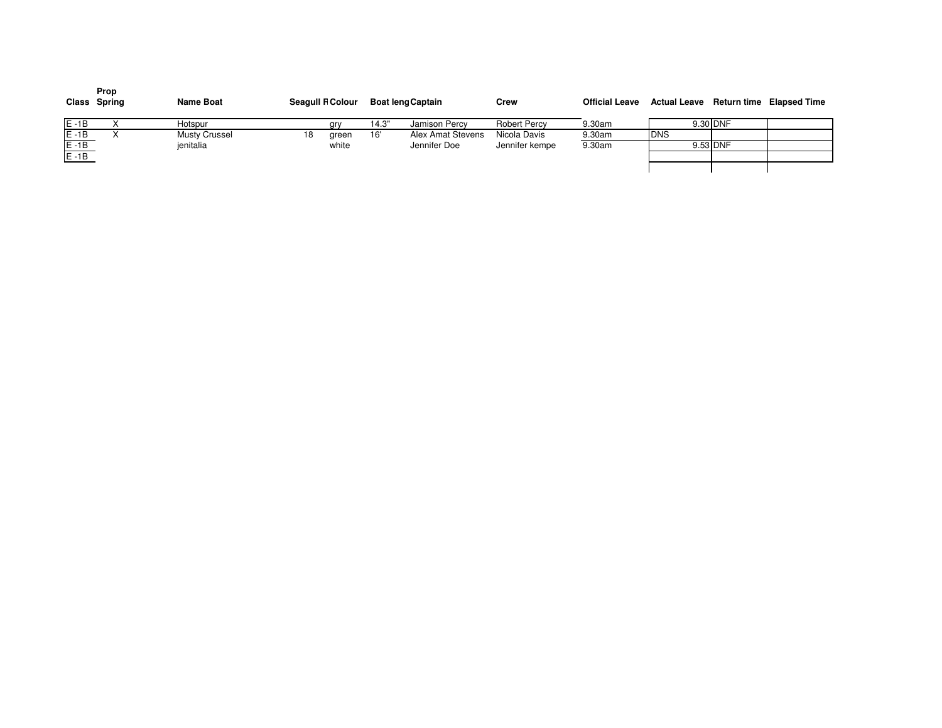|                      | Prop<br>Class Spring | <b>Name Boat</b>     | <b>Seagull R Colour</b> |       | Boat leng Captain | Crew                | <b>Official Leave</b> | Actual Leave Return time Elapsed Time |          |  |
|----------------------|----------------------|----------------------|-------------------------|-------|-------------------|---------------------|-----------------------|---------------------------------------|----------|--|
| $E - 1B$             |                      | Hotspur              | ary                     | 14.3" | Jamison Percy     | <b>Robert Percy</b> | 9.30am                |                                       | 9.30 DNF |  |
| $E - 1B$<br>$E - 1B$ |                      | <b>Musty Crussel</b> | 18<br>green             | 16'   | Alex Amat Stevens | Nicola Davis        | 9.30am                | <b>IDNS</b>                           |          |  |
|                      |                      | jenitalia            | white                   |       | Jennifer Doe      | Jennifer kempe      | 9.30am                |                                       | 9.53 DNF |  |
| $E - 1B$             |                      |                      |                         |       |                   |                     |                       |                                       |          |  |
|                      |                      |                      |                         |       |                   |                     |                       |                                       |          |  |